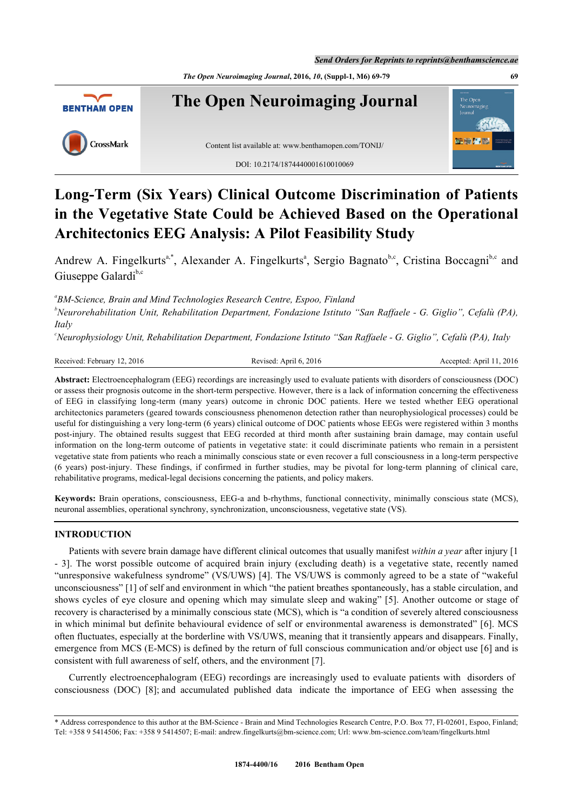*Send Orders for Reprints to reprints@benthamscience.ae*

*The Open Neuroimaging Journal***, 2016,** *10***, (Suppl-1, M6) 69-79 69**



# **Long-Term (Six Years) Clinical Outcome Discrimination of Patients in the Vegetative State Could be Achieved Based on the Operational Architectonics EEG Analysis: A Pilot Feasibility Study**

Andrew A. Fingelkurts<sup>[a,](#page-0-0)[\\*](#page-0-1)</sup>, Alex[a](#page-0-0)nder A. Fingelkurts<sup>a</sup>, Sergio Bagnato<sup>[b](#page-0-2)[,c](#page-0-3)</sup>, Cristina Boccagni<sup>[b,](#page-0-2)[c](#page-0-3)</sup> and Giuseppe Galardi<sup>[b](#page-0-2),[c](#page-0-3)</sup>

<span id="page-0-0"></span>*a BM-Science, Brain and Mind Technologies Research Centre, Espoo, Finland*

<span id="page-0-2"></span>*<sup>b</sup>Neurorehabilitation Unit, Rehabilitation Department, Fondazione Istituto "San Raffaele - G. Giglio", Cefalù (PA), Italy*

<span id="page-0-3"></span>*<sup>c</sup>Neurophysiology Unit, Rehabilitation Department, Fondazione Istituto "San Raffaele - G. Giglio", Cefalù (PA), Italy*

Received: February 12, 2016 Revised: April 6, 2016 Revised: April 11, 2016 Accepted: April 11, 2016

**Abstract:** Electroencephalogram (EEG) recordings are increasingly used to evaluate patients with disorders of consciousness (DOC) or assess their prognosis outcome in the short-term perspective. However, there is a lack of information concerning the effectiveness of EEG in classifying long-term (many years) outcome in chronic DOC patients. Here we tested whether EEG operational architectonics parameters (geared towards consciousness phenomenon detection rather than neurophysiological processes) could be useful for distinguishing a very long-term (6 years) clinical outcome of DOC patients whose EEGs were registered within 3 months post-injury. The obtained results suggest that EEG recorded at third month after sustaining brain damage, may contain useful information on the long-term outcome of patients in vegetative state: it could discriminate patients who remain in a persistent vegetative state from patients who reach a minimally conscious state or even recover a full consciousness in a long-term perspective (6 years) post-injury. These findings, if confirmed in further studies, may be pivotal for long-term planning of clinical care, rehabilitative programs, medical-legal decisions concerning the patients, and policy makers.

**Keywords:** Brain operations, consciousness, EEG-a and b-rhythms, functional connectivity, minimally conscious state (MCS), neuronal assemblies, operational synchrony, synchronization, unconsciousness, vegetative state (VS).

# **INTRODUCTION**

Patients with severe brain damage have different clinical outcomes that usually manifest *within a year* after injury [[1](#page-8-0) - [3](#page-8-1)]. The worst possible outcome of acquired brain injury (excluding death) is a vegetative state, recently named "unresponsive wakefulness syndrome" (VS/UWS) [\[4](#page-8-2)]. The VS/UWS is commonly agreed to be a state of "wakeful unconsciousness" [[1\]](#page-8-0) of self and environment in which "the patient breathes spontaneously, has a stable circulation, and shows cycles of eye closure and opening which may simulate sleep and waking" [[5\]](#page-8-3). Another outcome or stage of recovery is characterised by a minimally conscious state (MCS), which is "a condition of severely altered consciousness in which minimal but definite behavioural evidence of self or environmental awareness is demonstrated" [[6\]](#page-8-4). MCS often fluctuates, especially at the borderline with VS/UWS, meaning that it transiently appears and disappears. Finally, emergence from MCS (E-MCS) is defined by the return of full conscious communication and/or object use [[6](#page-8-4)] and is consistent with full awareness of self, others, and the environment [\[7](#page-8-5)].

Currently electroencephalogram (EEG) recordings are increasingly used to evaluate patients with disorders of consciousness (DOC) [\[8](#page-8-6)]; and accumulated published data indicate the importance of EEG when assessing the

<span id="page-0-1"></span><sup>\*</sup> Address correspondence to this author at the BM-Science - Brain and Mind Technologies Research Centre, P.O. Box 77, FI-02601, Espoo, Finland; Tel: +358 9 5414506; Fax: +358 9 5414507; E-mail: [andrew.fingelkurts@bm-science.com](mailto:andrew.fingelkurts@bm-science.com); Url: [www.bm-science.com/team/fingelkurts.html](mailto:www.bm-science.com/team/fingelkurts.html)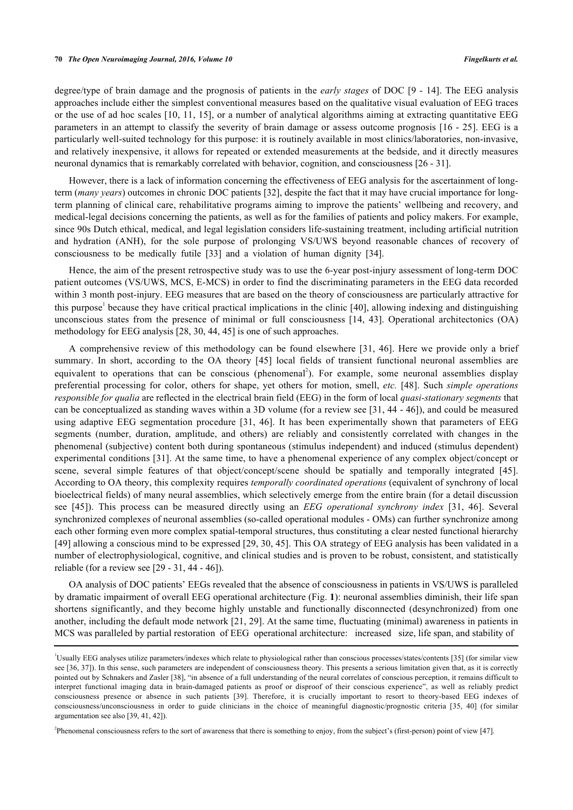degree/type of brain damage and the prognosis of patients in the *early stages* of DOC [\[9](#page-8-7) - [14](#page-8-8)]. The EEG analysis approaches include either the simplest conventional measures based on the qualitative visual evaluation of EEG traces or the use of ad hoc scales [\[10,](#page-8-9) [11,](#page-8-10) [15](#page-8-11)], or a number of analytical algorithms aiming at extracting quantitative EEG parameters in an attempt to classify the severity of brain damage or assess outcome prognosis [[16](#page-8-12) - [25\]](#page-9-0). EEG is a particularly well-suited technology for this purpose: it is routinely available in most clinics/laboratories, non-invasive, and relatively inexpensive, it allows for repeated or extended measurements at the bedside, and it directly measures neuronal dynamics that is remarkably correlated with behavior, cognition, and consciousness [[26](#page-9-1) - [31](#page-9-2)].

However, there is a lack of information concerning the effectiveness of EEG analysis for the ascertainment of longterm (*many years*) outcomes in chronic DOC patients [\[32](#page-9-3)], despite the fact that it may have crucial importance for longterm planning of clinical care, rehabilitative programs aiming to improve the patients' wellbeing and recovery, and medical-legal decisions concerning the patients, as well as for the families of patients and policy makers. For example, since 90s Dutch ethical, medical, and legal legislation considers life-sustaining treatment, including artificial nutrition and hydration (ANH), for the sole purpose of prolonging VS/UWS beyond reasonable chances of recovery of consciousness to be medically futile[[33\]](#page-9-4) and a violation of human dignity [\[34](#page-9-5)].

Hence, the aim of the present retrospective study was to use the 6-year post-injury assessment of long-term DOC patient outcomes (VS/UWS, MCS, E-MCS) in order to find the discriminating parameters in the EEG data recorded within 3 month post-injury. EEG measures that are based on the theory of consciousness are particularly attractive for this purpose<sup>[1](#page--1-0)</sup> because they have critical practical implications in the clinic [\[40\]](#page-9-6), allowing indexing and distinguishing unconscious states from the presence of minimal or full consciousness [\[14,](#page-8-8) [43](#page-10-0)]. Operational architectonics (OA) methodology for EEG analysis [\[28](#page-9-7), [30](#page-9-8), [44](#page-10-1), [45](#page-10-2)] is one of such approaches.

A comprehensive review of this methodology can be found elsewhere[[31](#page-9-2), [46](#page-10-3)]. Here we provide only a brief summary.In short, according to the OA theory [[45](#page-10-2)] local fields of transient functional neuronal assemblies are equivalent to operations that can be conscious (phenomenal<sup>[2](#page--1-0)</sup>). For example, some neuronal assemblies display preferential processing for color, others for shape, yet others for motion, smell, *etc.* [[48](#page-10-4)]. Such *simple operations responsible for qualia* are reflected in the electrical brain field (EEG) in the form of local *quasi-stationary segments* that can be conceptualized as standing waves within a 3D volume (for a review see [[31](#page-9-2), [44](#page-10-1) - [46](#page-10-3)]), and could be measured using adaptive EEG segmentation procedure[[31,](#page-9-2) [46\]](#page-10-3). It has been experimentally shown that parameters of EEG segments (number, duration, amplitude, and others) are reliably and consistently correlated with changes in the phenomenal (subjective) content both during spontaneous (stimulus independent) and induced (stimulus dependent) experimental conditions [\[31\]](#page-9-2). At the same time, to have a phenomenal experience of any complex object/concept or scene, several simple features of that object/concept/scene should be spatially and temporally integrated [\[45\]](#page-10-2). According to OA theory, this complexity requires *temporally coordinated operations* (equivalent of synchrony of local bioelectrical fields) of many neural assemblies, which selectively emerge from the entire brain (for a detail discussion see[[45](#page-10-2)]). This process can be measured directly using an *EEG operational synchrony index* [\[31,](#page-9-2) [46](#page-10-3)]. Several synchronized complexes of neuronal assemblies (so-called operational modules - OMs) can further synchronize among each other forming even more complex spatial-temporal structures, thus constituting a clear nested functional hierarchy [\[49](#page-10-5)] allowing a conscious mind to be expressed [[29,](#page-9-9) [30](#page-9-8), [45](#page-10-2)]. This OA strategy of EEG analysis has been validated in a number of electrophysiological, cognitive, and clinical studies and is proven to be robust, consistent, and statistically reliable (for a review see [[29](#page-9-9) - [31](#page-9-2), [44](#page-10-1) - [46\]](#page-10-3)).

OA analysis of DOC patients' EEGs revealed that the absence of consciousness in patients in VS/UWS is paralleled by dramatic impairment of overall EEG operational architecture (Fig. **[1](#page-2-0)**): neuronal assemblies diminish, their life span shortens significantly, and they become highly unstable and functionally disconnected (desynchronized) from one another, including the default mode network [\[21,](#page-8-13) [29\]](#page-9-9). At the same time, fluctuating (minimal) awareness in patients in MCS was paralleled by partial restoration of EEG operational architecture: increased size, life span, and stability of

2 Phenomenal consciousness refers to the sort of awareness that there is something to enjoy, from the subject's (first-person) point of view [\[47](#page-10-6)].

<sup>&</sup>lt;sup>1</sup>Usually EEG analyses utilize parameters/indexes which relate to physiological rather than conscious processes/states/contents [\[35](#page-9-10)] (for similar view see [[36](#page-9-11), [37\]](#page-9-12)). In this sense, such parameters are independent of consciousness theory. This presents a serious limitation given that, as it is correctly pointed out by Schnakers and Zasler [\[38](#page-9-13)], "in absence of a full understanding of the neural correlates of conscious perception, it remains difficult to interpret functional imaging data in brain-damaged patients as proof or disproof of their conscious experience", as well as reliably predict consciousness presence or absence in such patients[[39\]](#page-9-14). Therefore, it is crucially important to resort to theory-based EEG indexes of consciousness/unconsciousness in order to guide clinicians in the choice of meaningful diagnostic/prognostic criteria [\[35,](#page-9-10) [40\]](#page-9-6) (for similar argumentation see also [[39,](#page-9-14) 41, [42\]](#page-9-15)).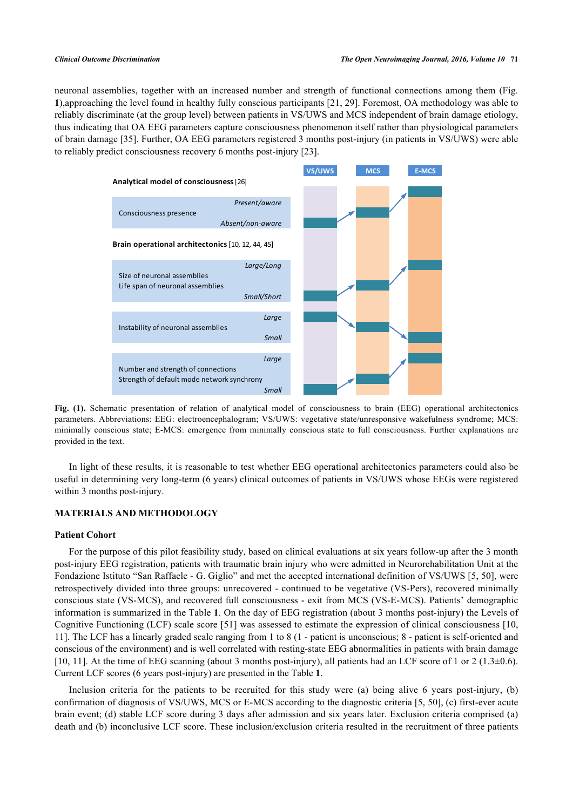<span id="page-2-0"></span>neuronal assemblies, together with an increased number and strength of functional connections among them (Fig. **[1](#page-2-0)**),approaching the level found in healthy fully conscious participants [\[21](#page-8-13), [29](#page-9-9)]. Foremost, OA methodology was able to reliably discriminate (at the group level) between patients in VS/UWS and MCS independent of brain damage etiology, thus indicating that OA EEG parameters capture consciousness phenomenon itself rather than physiological parameters of brain damage [\[35](#page-9-10)]. Further, OA EEG parameters registered 3 months post-injury (in patients in VS/UWS) were able to reliably predict consciousness recovery 6 months post-injury [\[23](#page-9-16)].



**Fig. (1).** Schematic presentation of relation of analytical model of consciousness to brain (EEG) operational architectonics parameters. Abbreviations: EEG: electroencephalogram; VS/UWS: vegetative state/unresponsive wakefulness syndrome; MCS: minimally conscious state; E-MCS: emergence from minimally conscious state to full consciousness. Further explanations are provided in the text.

In light of these results, it is reasonable to test whether EEG operational architectonics parameters could also be useful in determining very long-term (6 years) clinical outcomes of patients in VS/UWS whose EEGs were registered within 3 months post-injury.

# **MATERIALS AND METHODOLOGY**

### **Patient Cohort**

For the purpose of this pilot feasibility study, based on clinical evaluations at six years follow-up after the 3 month post-injury EEG registration, patients with traumatic brain injury who were admitted in Neurorehabilitation Unit at the Fondazione Istituto "San Raffaele - G. Giglio" and met the accepted international definition of VS/UWS [[5,](#page-8-3) [50](#page-10-7)], were retrospectively divided into three groups: unrecovered - continued to be vegetative (VS-Pers), recovered minimally conscious state (VS-MCS), and recovered full consciousness - exit from MCS (VS-E-MCS). Patients' demographic information is summarized in the Table **[1](#page-3-0)**. On the day of EEG registration (about 3 months post-injury) the Levels of Cognitive Functioning (LCF) scale score [[51\]](#page-10-8) was assessed to estimate the expression of clinical consciousness [[10](#page-8-9), [11\]](#page-8-10). The LCF has a linearly graded scale ranging from 1 to 8 (1 - patient is unconscious; 8 - patient is self-oriented and conscious of the environment) and is well correlated with resting-state EEG abnormalities in patients with brain damage [\[10](#page-8-9), [11\]](#page-8-10). At the time of EEG scanning (about 3 months post-injury), all patients had an LCF score of 1 or 2 (1.3 $\pm$ 0.6). Current LCF scores (6 years post-injury) are presented in the Table **[1](#page-3-0)**.

Inclusion criteria for the patients to be recruited for this study were (a) being alive 6 years post-injury, (b) confirmation of diagnosis of VS/UWS, MCS or E-MCS according to the diagnostic criteria [\[5](#page-8-3), [50\]](#page-10-7), (c) first-ever acute brain event; (d) stable LCF score during 3 days after admission and six years later. Exclusion criteria comprised (a) death and (b) inconclusive LCF score. These inclusion/exclusion criteria resulted in the recruitment of three patients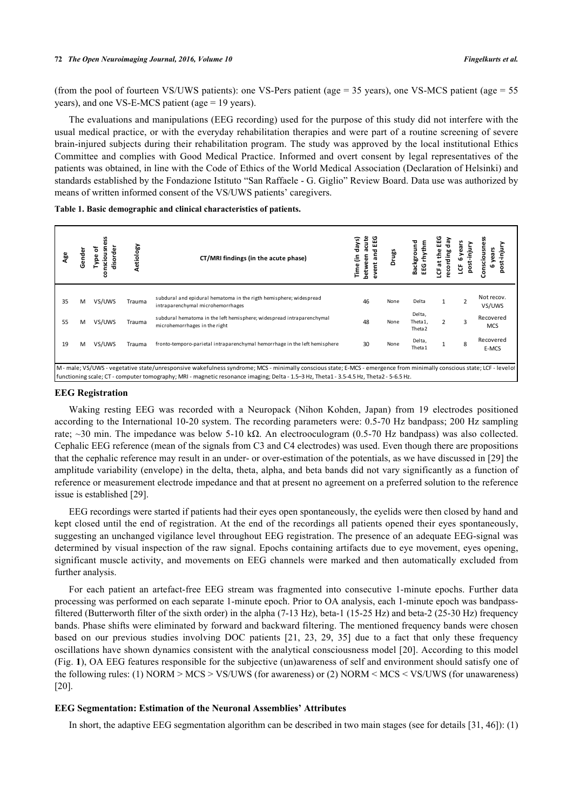#### **72** *The Open Neuroimaging Journal, 2016, Volume 10 Fingelkurts et al.*

(from the pool of fourteen VS/UWS patients): one VS-Pers patient (age  $=$  35 years), one VS-MCS patient (age  $=$  55 years), and one VS-E-MCS patient (age = 19 years).

The evaluations and manipulations (EEG recording) used for the purpose of this study did not interfere with the usual medical practice, or with the everyday rehabilitation therapies and were part of a routine screening of severe brain-injured subjects during their rehabilitation program. The study was approved by the local institutional Ethics Committee and complies with Good Medical Practice. Informed and overt consent by legal representatives of the patients was obtained, in line with the Code of Ethics of the World Medical Association (Declaration of Helsinki) and standards established by the Fondazione Istituto "San Raffaele - G. Giglio" Review Board. Data use was authorized by means of written informed consent of the VS/UWS patients' caregivers.

<span id="page-3-0"></span>**Table 1. Basic demographic and clinical characteristics of patients.**

| ٩ge                                                                                                                                                                                                                                                                                                       | Gender | ቴ<br>듮<br>ω<br>ъ<br>₫.<br>음<br>nsci | Aetiology | CT/MRI findings (in the acute phase)                                                                    | days)<br>ε<br>Time | acute<br>EEG<br>nd<br>and<br>between<br>ã<br>š | Drugs | Background<br>톱<br>EG                   | ۵<br>E<br>ъ<br>훕<br>뽇<br>12<br>෪ | 륻<br>ទី<br>9   | з<br>onscio             |
|-----------------------------------------------------------------------------------------------------------------------------------------------------------------------------------------------------------------------------------------------------------------------------------------------------------|--------|-------------------------------------|-----------|---------------------------------------------------------------------------------------------------------|--------------------|------------------------------------------------|-------|-----------------------------------------|----------------------------------|----------------|-------------------------|
| 35                                                                                                                                                                                                                                                                                                        | м      | VS/UWS                              | Trauma    | subdural and epidural hematoma in the rigth hemisphere; widespread<br>intraparenchymal microhemorrhages |                    | 46                                             | None  | Delta                                   |                                  | $\overline{2}$ | Not recov.<br>VS/UWS    |
| 55                                                                                                                                                                                                                                                                                                        | м      | VS/UWS                              | Trauma    | subdural hematoma in the left hemisphere; widespread intraparenchymal<br>microhemorrhages in the right  |                    | 48                                             | None  | Delta,<br>Theta1,<br>Theta <sub>2</sub> |                                  | $\overline{3}$ | Recovered<br><b>MCS</b> |
| 19                                                                                                                                                                                                                                                                                                        | M      | VS/UWS                              | Trauma    | fronto-temporo-parietal intraparenchymal hemorrhage in the left hemisphere                              |                    | 30                                             | None  | Delta,<br>Theta1                        |                                  | 8              | Recovered<br>E-MCS      |
| M-male; VS/UWS-vegetative state/unresponsive wakefulness syndrome; MCS-minimally conscious state; E-MCS-emergence from minimally conscious state; LCF-levelo<br>. functioning scale; CT - computer tomography; MRI - magnetic resonance imaging; Delta - 1.5–3 Hz, Theta1 - 3.5-4.5 Hz, Theta2 - 5-6.5 Hz |        |                                     |           |                                                                                                         |                    |                                                |       |                                         |                                  |                |                         |

#### **EEG Registration**

Waking resting EEG was recorded with a Neuropack (Nihon Kohden, Japan) from 19 electrodes positioned according to the International 10-20 system. The recording parameters were: 0.5-70 Hz bandpass; 200 Hz sampling rate; ~30 min. The impedance was below 5-10 kΩ. An electrooculogram (0.5-70 Hz bandpass) was also collected. Cephalic EEG reference (mean of the signals from C3 and C4 electrodes) was used. Even though there are propositions that the cephalic reference may result in an under- or over-estimation of the potentials, as we have discussed in [\[29](#page-9-9)] the amplitude variability (envelope) in the delta, theta, alpha, and beta bands did not vary significantly as a function of reference or measurement electrode impedance and that at present no agreement on a preferred solution to the reference issue is established [[29\]](#page-9-9).

EEG recordings were started if patients had their eyes open spontaneously, the eyelids were then closed by hand and kept closed until the end of registration. At the end of the recordings all patients opened their eyes spontaneously, suggesting an unchanged vigilance level throughout EEG registration. The presence of an adequate EEG-signal was determined by visual inspection of the raw signal. Epochs containing artifacts due to eye movement, eyes opening, significant muscle activity, and movements on EEG channels were marked and then automatically excluded from further analysis.

For each patient an artefact-free EEG stream was fragmented into consecutive 1-minute epochs. Further data processing was performed on each separate 1-minute epoch. Prior to OA analysis, each 1-minute epoch was bandpassfiltered (Butterworth filter of the sixth order) in the alpha (7-13 Hz), beta-1 (15-25 Hz) and beta-2 (25-30 Hz) frequency bands. Phase shifts were eliminated by forward and backward filtering. The mentioned frequency bands were chosen based on our previous studies involving DOC patients [\[21](#page-8-13), [23,](#page-9-16) [29](#page-9-9), [35](#page-9-10)] due to a fact that only these frequency oscillations have shown dynamics consistent with the analytical consciousness model [\[20\]](#page-8-14). According to this model (Fig. **[1](#page-2-0)**), OA EEG features responsible for the subjective (un)awareness of self and environment should satisfy one of the following rules: (1) NORM > MCS > VS/UWS (for awareness) or (2) NORM < MCS < VS/UWS (for unawareness) [\[20](#page-8-14)].

### **EEG Segmentation: Estimation of the Neuronal Assemblies' Attributes**

In short, the adaptive EEG segmentation algorithm can be described in two main stages (see for details [[31,](#page-9-2) [46\]](#page-10-3)): (1)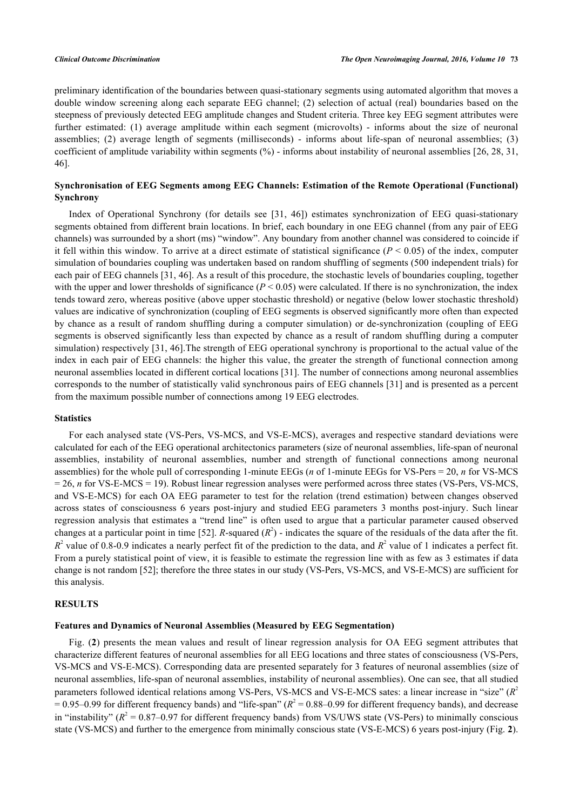preliminary identification of the boundaries between quasi-stationary segments using automated algorithm that moves a double window screening along each separate EEG channel; (2) selection of actual (real) boundaries based on the steepness of previously detected EEG amplitude changes and Student criteria. Three key EEG segment attributes were further estimated: (1) average amplitude within each segment (microvolts) - informs about the size of neuronal assemblies; (2) average length of segments (milliseconds) - informs about life-span of neuronal assemblies; (3) coefficient of amplitude variability within segments (%) - informs about instability of neuronal assemblies [\[26](#page-9-1), [28,](#page-9-7) [31](#page-9-2), [46\]](#page-10-3).

# **Synchronisation of EEG Segments among EEG Channels: Estimation of the Remote Operational (Functional) Synchrony**

Index of Operational Synchrony (for details see [\[31,](#page-9-2) [46\]](#page-10-3)) estimates synchronization of EEG quasi-stationary segments obtained from different brain locations. In brief, each boundary in one EEG channel (from any pair of EEG channels) was surrounded by a short (ms) "window". Any boundary from another channel was considered to coincide if it fell within this window. To arrive at a direct estimate of statistical significance  $(P \le 0.05)$  of the index, computer simulation of boundaries coupling was undertaken based on random shuffling of segments (500 independent trials) for each pair of EEG channels [\[31,](#page-9-2) [46\]](#page-10-3). As a result of this procedure, the stochastic levels of boundaries coupling, together with the upper and lower thresholds of significance  $(P < 0.05)$  were calculated. If there is no synchronization, the index tends toward zero, whereas positive (above upper stochastic threshold) or negative (below lower stochastic threshold) values are indicative of synchronization (coupling of EEG segments is observed significantly more often than expected by chance as a result of random shuffling during a computer simulation) or de-synchronization (coupling of EEG segments is observed significantly less than expected by chance as a result of random shuffling during a computer simulation) respectively [\[31](#page-9-2), [46\]](#page-10-3). The strength of EEG operational synchrony is proportional to the actual value of the index in each pair of EEG channels: the higher this value, the greater the strength of functional connection among neuronal assemblies located in different cortical locations [\[31](#page-9-2)]. The number of connections among neuronal assemblies corresponds to the number of statistically valid synchronous pairs of EEG channels [[31\]](#page-9-2) and is presented as a percent from the maximum possible number of connections among 19 EEG electrodes.

#### **Statistics**

For each analysed state (VS-Pers, VS-MCS, and VS-E-MCS), averages and respective standard deviations were calculated for each of the EEG operational architectonics parameters (size of neuronal assemblies, life-span of neuronal assemblies, instability of neuronal assemblies, number and strength of functional connections among neuronal assemblies) for the whole pull of corresponding 1-minute EEGs (*n* of 1-minute EEGs for VS-Pers = 20, *n* for VS-MCS = 26, *n* for VS-E-MCS = 19). Robust linear regression analyses were performed across three states (VS-Pers, VS-MCS, and VS-E-MCS) for each OA EEG parameter to test for the relation (trend estimation) between changes observed across states of consciousness 6 years post-injury and studied EEG parameters 3 months post-injury. Such linear regression analysis that estimates a "trend line" is often used to argue that a particular parameter caused observed changes at a particular point in time [\[52](#page-10-9)]. *R*-squared  $(R^2)$  - indicates the square of the residuals of the data after the fit.  $R^2$  value of 0.8-0.9 indicates a nearly perfect fit of the prediction to the data, and  $R^2$  value of 1 indicates a perfect fit. From a purely statistical point of view, it is feasible to estimate the regression line with as few as 3 estimates if data change is not random [[52\]](#page-10-9); therefore the three states in our study (VS-Pers, VS-MCS, and VS-E-MCS) are sufficient for this analysis.

#### **RESULTS**

### **Features and Dynamics of Neuronal Assemblies (Measured by EEG Segmentation)**

Fig. (**[2](#page-5-0)**) presents the mean values and result of linear regression analysis for OA EEG segment attributes that characterize different features of neuronal assemblies for all EEG locations and three states of consciousness (VS-Pers, VS-MCS and VS-E-MCS). Corresponding data are presented separately for 3 features of neuronal assemblies (size of neuronal assemblies, life-span of neuronal assemblies, instability of neuronal assemblies). One can see, that all studied parameters followed identical relations among VS-Pers, VS-MCS and VS-E-MCS sates: a linear increase in "size" (*R*<sup>2</sup>  $= 0.95 - 0.99$  for different frequency bands) and "life-span" ( $R^2 = 0.88 - 0.99$  for different frequency bands), and decrease in "instability" ( $R^2$  = 0.87–0.97 for different frequency bands) from VS/UWS state (VS-Pers) to minimally conscious state (VS-MCS) and further to the emergence from minimally conscious state (VS-E-MCS) 6 years post-injury (Fig. **[2](#page-5-0)**).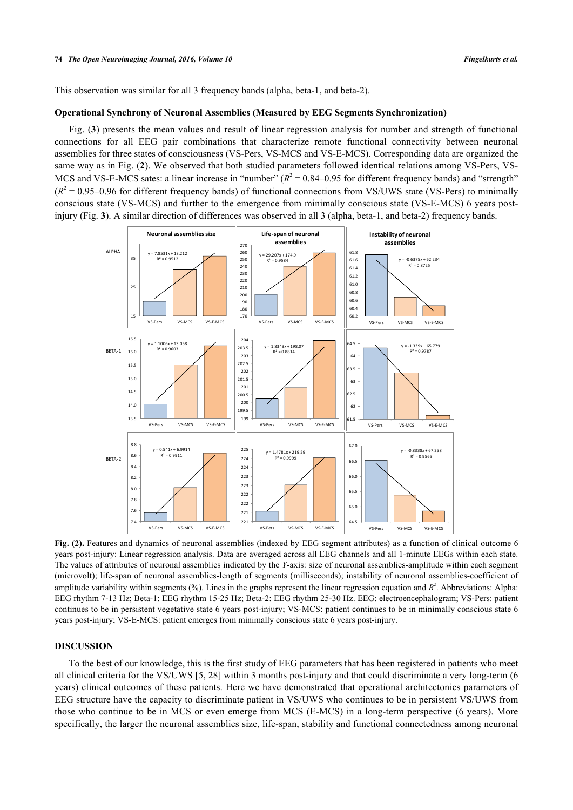This observation was similar for all 3 frequency bands (alpha, beta-1, and beta-2).

#### **Operational Synchrony of Neuronal Assemblies (Measured by EEG Segments Synchronization)**

Fig. (**[3](#page-6-0)**) presents the mean values and result of linear regression analysis for number and strength of functional connections for all EEG pair combinations that characterize remote functional connectivity between neuronal assemblies for three states of consciousness (VS-Pers, VS-MCS and VS-E-MCS). Corresponding data are organized the same way as in Fig. (**[2](#page-5-0)**). We observed that both studied parameters followed identical relations among VS-Pers, VS-MCS and VS-E-MCS sates: a linear increase in "number"  $(R^2 = 0.84 - 0.95$  for different frequency bands) and "strength"  $(R<sup>2</sup> = 0.95-0.96$  for different frequency bands) of functional connections from VS/UWS state (VS-Pers) to minimally conscious state (VS-MCS) and further to the emergence from minimally conscious state (VS-E-MCS) 6 years postinjury (Fig. **[3](#page-6-0)**). A similar direction of differences was observed in all 3 (alpha, beta-1, and beta-2) frequency bands.

<span id="page-5-0"></span>

**Fig. (2).** Features and dynamics of neuronal assemblies (indexed by EEG segment attributes) as a function of clinical outcome 6 years post-injury: Linear regression analysis. Data are averaged across all EEG channels and all 1-minute EEGs within each state. The values of attributes of neuronal assemblies indicated by the *Y*-axis: size of neuronal assemblies-amplitude within each segment (microvolt); life-span of neuronal assemblies-length of segments (milliseconds); instability of neuronal assemblies-coefficient of amplitude variability within segments  $(\%)$ . Lines in the graphs represent the linear regression equation and  $R^2$ . Abbreviations: Alpha: EEG rhythm 7-13 Hz; Beta-1: EEG rhythm 15-25 Hz; Beta-2: EEG rhythm 25-30 Hz. EEG: electroencephalogram; VS-Pers: patient continues to be in persistent vegetative state 6 years post-injury; VS-MCS: patient continues to be in minimally conscious state 6 years post-injury; VS-E-MCS: patient emerges from minimally conscious state 6 years post-injury.

# **DISCUSSION**

To the best of our knowledge, this is the first study of EEG parameters that has been registered in patients who meet all clinical criteria for the VS/UWS [\[5](#page-8-3), [28\]](#page-9-7) within 3 months post-injury and that could discriminate a very long-term (6 years) clinical outcomes of these patients. Here we have demonstrated that operational architectonics parameters of EEG structure have the capacity to discriminate patient in VS/UWS who continues to be in persistent VS/UWS from those who continue to be in MCS or even emerge from MCS (E-MCS) in a long-term perspective (6 years). More specifically, the larger the neuronal assemblies size, life-span, stability and functional connectedness among neuronal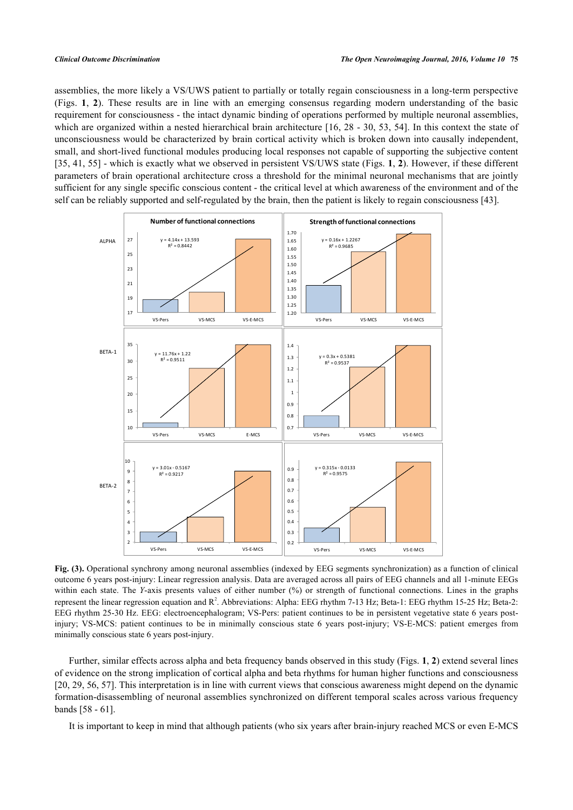assemblies, the more likely a VS/UWS patient to partially or totally regain consciousness in a long-term perspective (Figs.**1**,**2**). These results are in line with an emerging consensus regarding modern understanding of the basic requirement for consciousness - the intact dynamic binding of operations performed by multiple neuronal assemblies, which are organized within a nested hierarchical brain architecture [[16,](#page-8-12) [28](#page-9-7) - [30,](#page-9-8) [53,](#page-10-10) [54\]](#page-10-11). In this context the state of unconsciousness would be characterized by brain cortical activity which is broken down into causally independent, small, and short-lived functional modules producing local responses not capable of supporting the subjective content [\[35](#page-9-10), [41,](#page-9-17) [55\]](#page-10-12) - which is exactly what we observed in persistent VS/UWS state (Figs. **[1](#page-2-0)**, **[2](#page-5-0)**). However, if these different parameters of brain operational architecture cross a threshold for the minimal neuronal mechanisms that are jointly sufficient for any single specific conscious content - the critical level at which awareness of the environment and of the self can be reliably supported and self-regulated by the brain, then the patient is likely to regain consciousness [\[43](#page-10-0)].

<span id="page-6-0"></span>

**Fig. (3).** Operational synchrony among neuronal assemblies (indexed by EEG segments synchronization) as a function of clinical outcome 6 years post-injury: Linear regression analysis. Data are averaged across all pairs of EEG channels and all 1-minute EEGs within each state. The *Y*-axis presents values of either number (%) or strength of functional connections. Lines in the graphs represent the linear regression equation and R<sup>2</sup>. Abbreviations: Alpha: EEG rhythm 7-13 Hz; Beta-1: EEG rhythm 15-25 Hz; Beta-2: EEG rhythm 25-30 Hz. EEG: electroencephalogram; VS-Pers: patient continues to be in persistent vegetative state 6 years postinjury; VS-MCS: patient continues to be in minimally conscious state 6 years post-injury; VS-E-MCS: patient emerges from minimally conscious state 6 years post-injury.

Further, similar effects across alpha and beta frequency bands observed in this study (Figs. **[1](#page-2-0)**, **[2](#page-5-0)**) extend several lines of evidence on the strong implication of cortical alpha and beta rhythms for human higher functions and consciousness [\[20](#page-8-14), [29](#page-9-9), [56](#page-10-13), [57](#page-10-14)]. This interpretation is in line with current views that conscious awareness might depend on the dynamic formation-disassembling of neuronal assemblies synchronized on different temporal scales across various frequency bands [[58](#page-10-15) - [61](#page-10-16)].

It is important to keep in mind that although patients (who six years after brain-injury reached MCS or even E-MCS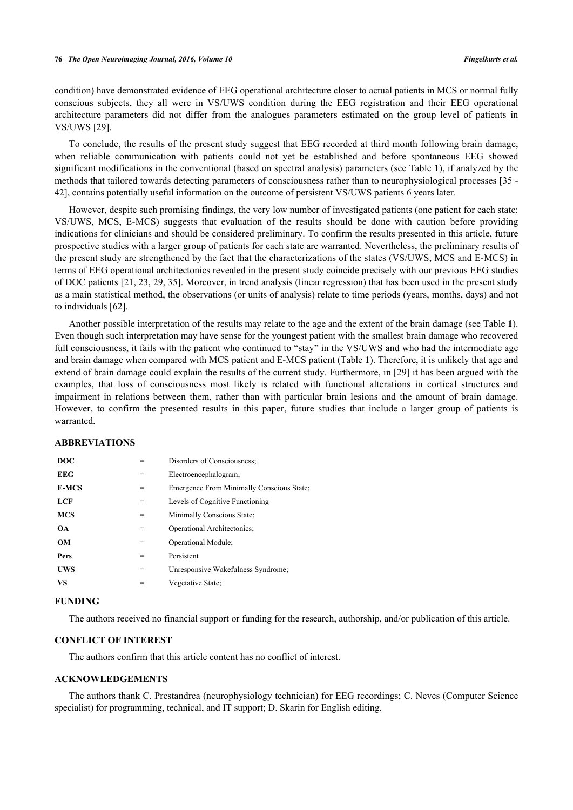condition) have demonstrated evidence of EEG operational architecture closer to actual patients in MCS or normal fully conscious subjects, they all were in VS/UWS condition during the EEG registration and their EEG operational architecture parameters did not differ from the analogues parameters estimated on the group level of patients in VS/UWS [\[29](#page-9-9)].

To conclude, the results of the present study suggest that EEG recorded at third month following brain damage, when reliable communication with patients could not yet be established and before spontaneous EEG showed significant modifications in the conventional (based on spectral analysis) parameters (see Table **[1](#page-3-0)**), if analyzed by the methods that tailored towards detecting parameters of consciousness rather than to neurophysiological processes [\[35](#page-9-10) - [42\]](#page-9-15), contains potentially useful information on the outcome of persistent VS/UWS patients 6 years later.

However, despite such promising findings, the very low number of investigated patients (one patient for each state: VS/UWS, MCS, E-MCS) suggests that evaluation of the results should be done with caution before providing indications for clinicians and should be considered preliminary. To confirm the results presented in this article, future prospective studies with a larger group of patients for each state are warranted. Nevertheless, the preliminary results of the present study are strengthened by the fact that the characterizations of the states (VS/UWS, MCS and E-MCS) in terms of EEG operational architectonics revealed in the present study coincide precisely with our previous EEG studies of DOC patients [[21,](#page-8-13) [23](#page-9-16), [29](#page-9-9), [35\]](#page-9-10). Moreover, in trend analysis (linear regression) that has been used in the present study as a main statistical method, the observations (or units of analysis) relate to time periods (years, months, days) and not to individuals [\[62](#page-10-17)].

Another possible interpretation of the results may relate to the age and the extent of the brain damage (see Table **[1](#page-3-0)**). Even though such interpretation may have sense for the youngest patient with the smallest brain damage who recovered full consciousness, it fails with the patient who continued to "stay" in the VS/UWS and who had the intermediate age and brain damage when compared with MCS patient and E-MCS patient (Table **[1](#page-3-0)**). Therefore, it is unlikely that age and extend of brain damage could explain the results of the current study. Furthermore, in [[29\]](#page-9-9) it has been argued with the examples, that loss of consciousness most likely is related with functional alterations in cortical structures and impairment in relations between them, rather than with particular brain lesions and the amount of brain damage. However, to confirm the presented results in this paper, future studies that include a larger group of patients is warranted.

# **ABBREVIATIONS**

| <b>DOC</b>   | $=$ | Disorders of Consciousness:               |
|--------------|-----|-------------------------------------------|
| <b>EEG</b>   | =   | Electroencephalogram;                     |
| <b>E-MCS</b> | =   | Emergence From Minimally Conscious State: |
| LCF          | $=$ | Levels of Cognitive Functioning           |
| <b>MCS</b>   | =   | Minimally Conscious State;                |
| <b>OA</b>    | =   | Operational Architectonics;               |
| OM           | =   | Operational Module;                       |
| Pers         | =   | Persistent                                |
| UWS          | =   | Unresponsive Wakefulness Syndrome;        |
| VS           |     | Vegetative State:                         |
|              |     |                                           |

### **FUNDING**

The authors received no financial support or funding for the research, authorship, and/or publication of this article.

# **CONFLICT OF INTEREST**

The authors confirm that this article content has no conflict of interest.

# **ACKNOWLEDGEMENTS**

The authors thank C. Prestandrea (neurophysiology technician) for EEG recordings; C. Neves (Computer Science specialist) for programming, technical, and IT support; D. Skarin for English editing.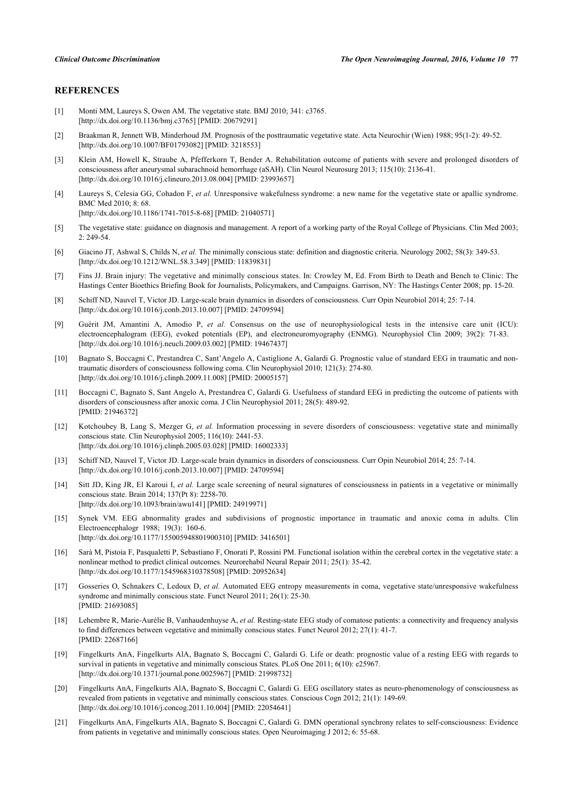# **REFERENCES**

- <span id="page-8-0"></span>[1] Monti MM, Laureys S, Owen AM. The vegetative state. BMJ 2010; 341: c3765. [\[http://dx.doi.org/10.1136/bmj.c3765\]](http://dx.doi.org/10.1136/bmj.c3765) [PMID: [20679291](http://www.ncbi.nlm.nih.gov/pubmed/20679291)]
- [2] Braakman R, Jennett WB, Minderhoud JM. Prognosis of the posttraumatic vegetative state. Acta Neurochir (Wien) 1988; 95(1-2): 49-52. [\[http://dx.doi.org/10.1007/BF01793082\]](http://dx.doi.org/10.1007/BF01793082) [PMID: [3218553](http://www.ncbi.nlm.nih.gov/pubmed/3218553)]
- <span id="page-8-1"></span>[3] Klein AM, Howell K, Straube A, Pfefferkorn T, Bender A. Rehabilitation outcome of patients with severe and prolonged disorders of consciousness after aneurysmal subarachnoid hemorrhage (aSAH). Clin Neurol Neurosurg 2013; 115(10): 2136-41. [\[http://dx.doi.org/10.1016/j.clineuro.2013.08.004](http://dx.doi.org/10.1016/j.clineuro.2013.08.004)] [PMID: [23993657\]](http://www.ncbi.nlm.nih.gov/pubmed/23993657)
- <span id="page-8-2"></span>[4] Laureys S, Celesia GG, Cohadon F, *et al.* Unresponsive wakefulness syndrome: a new name for the vegetative state or apallic syndrome. BMC Med 2010; 8: 68. [\[http://dx.doi.org/10.1186/1741-7015-8-68\]](http://dx.doi.org/10.1186/1741-7015-8-68) [PMID: [21040571](http://www.ncbi.nlm.nih.gov/pubmed/21040571)]
- <span id="page-8-3"></span>[5] The vegetative state: guidance on diagnosis and management. A report of a working party of the Royal College of Physicians. Clin Med 2003; 2: 249-54.
- <span id="page-8-4"></span>[6] Giacino JT, Ashwal S, Childs N, *et al.* The minimally conscious state: definition and diagnostic criteria. Neurology 2002; 58(3): 349-53. [\[http://dx.doi.org/10.1212/WNL.58.3.349](http://dx.doi.org/10.1212/WNL.58.3.349)] [PMID: [11839831\]](http://www.ncbi.nlm.nih.gov/pubmed/11839831)
- <span id="page-8-5"></span>[7] Fins JJ. Brain injury: The vegetative and minimally conscious states. In: Crowley M, Ed. From Birth to Death and Bench to Clinic: The Hastings Center Bioethics Briefing Book for Journalists, Policymakers, and Campaigns. Garrison, NY: The Hastings Center 2008; pp. 15-20.
- <span id="page-8-6"></span>[8] Schiff ND, Nauvel T, Victor JD. Large-scale brain dynamics in disorders of consciousness. Curr Opin Neurobiol 2014; 25: 7-14. [\[http://dx.doi.org/10.1016/j.conb.2013.10.007\]](http://dx.doi.org/10.1016/j.conb.2013.10.007) [PMID: [24709594](http://www.ncbi.nlm.nih.gov/pubmed/24709594)]
- <span id="page-8-7"></span>[9] Guérit JM, Amantini A, Amodio P, *et al.* Consensus on the use of neurophysiological tests in the intensive care unit (ICU): electroencephalogram (EEG), evoked potentials (EP), and electroneuromyography (ENMG). Neurophysiol Clin 2009; 39(2): 71-83. [\[http://dx.doi.org/10.1016/j.neucli.2009.03.002\]](http://dx.doi.org/10.1016/j.neucli.2009.03.002) [PMID: [19467437](http://www.ncbi.nlm.nih.gov/pubmed/19467437)]
- <span id="page-8-9"></span>[10] Bagnato S, Boccagni C, Prestandrea C, Sant'Angelo A, Castiglione A, Galardi G. Prognostic value of standard EEG in traumatic and nontraumatic disorders of consciousness following coma. Clin Neurophysiol 2010; 121(3): 274-80. [\[http://dx.doi.org/10.1016/j.clinph.2009.11.008](http://dx.doi.org/10.1016/j.clinph.2009.11.008)] [PMID: [20005157\]](http://www.ncbi.nlm.nih.gov/pubmed/20005157)
- <span id="page-8-10"></span>[11] Boccagni C, Bagnato S, Sant Angelo A, Prestandrea C, Galardi G. Usefulness of standard EEG in predicting the outcome of patients with disorders of consciousness after anoxic coma. J Clin Neurophysiol 2011; 28(5): 489-92. [PMID: [21946372\]](http://www.ncbi.nlm.nih.gov/pubmed/21946372)
- [12] Kotchoubey B, Lang S, Mezger G, *et al.* Information processing in severe disorders of consciousness: vegetative state and minimally conscious state. Clin Neurophysiol 2005; 116(10): 2441-53. [\[http://dx.doi.org/10.1016/j.clinph.2005.03.028](http://dx.doi.org/10.1016/j.clinph.2005.03.028)] [PMID: [16002333\]](http://www.ncbi.nlm.nih.gov/pubmed/16002333)
- [13] Schiff ND, Nauvel T, Victor JD. Large-scale brain dynamics in disorders of consciousness. Curr Opin Neurobiol 2014; 25: 7-14. [\[http://dx.doi.org/10.1016/j.conb.2013.10.007\]](http://dx.doi.org/10.1016/j.conb.2013.10.007) [PMID: [24709594](http://www.ncbi.nlm.nih.gov/pubmed/24709594)]
- <span id="page-8-8"></span>[14] Sitt JD, King JR, El Karoui I, *et al.* Large scale screening of neural signatures of consciousness in patients in a vegetative or minimally conscious state. Brain 2014; 137(Pt 8): 2258-70. [\[http://dx.doi.org/10.1093/brain/awu141\]](http://dx.doi.org/10.1093/brain/awu141) [PMID: [24919971](http://www.ncbi.nlm.nih.gov/pubmed/24919971)]
- <span id="page-8-11"></span>[15] Synek VM. EEG abnormality grades and subdivisions of prognostic importance in traumatic and anoxic coma in adults. Clin Electroencephalogr 1988; 19(3): 160-6. [\[http://dx.doi.org/10.1177/155005948801900310\]](http://dx.doi.org/10.1177/155005948801900310) [PMID: [3416501](http://www.ncbi.nlm.nih.gov/pubmed/3416501)]
- <span id="page-8-12"></span>[16] Sarà M, Pistoia F, Pasqualetti P, Sebastiano F, Onorati P, Rossini PM. Functional isolation within the cerebral cortex in the vegetative state: a nonlinear method to predict clinical outcomes. Neurorehabil Neural Repair 2011; 25(1): 35-42. [\[http://dx.doi.org/10.1177/1545968310378508\]](http://dx.doi.org/10.1177/1545968310378508) [PMID: [20952634](http://www.ncbi.nlm.nih.gov/pubmed/20952634)]
- [17] Gosseries O, Schnakers C, Ledoux D, *et al.* Automated EEG entropy measurements in coma, vegetative state/unresponsive wakefulness syndrome and minimally conscious state. Funct Neurol 2011; 26(1): 25-30. [PMID: [21693085\]](http://www.ncbi.nlm.nih.gov/pubmed/21693085)
- [18] Lehembre R, Marie-Aurélie B, Vanhaudenhuyse A, *et al.* Resting-state EEG study of comatose patients: a connectivity and frequency analysis to find differences between vegetative and minimally conscious states. Funct Neurol 2012; 27(1): 41-7. [PMID: [22687166\]](http://www.ncbi.nlm.nih.gov/pubmed/22687166)
- [19] Fingelkurts AnA, Fingelkurts AlA, Bagnato S, Boccagni C, Galardi G. Life or death: prognostic value of a resting EEG with regards to survival in patients in vegetative and minimally conscious States. PLoS One 2011; 6(10): e25967. [\[http://dx.doi.org/10.1371/journal.pone.0025967](http://dx.doi.org/10.1371/journal.pone.0025967)] [PMID: [21998732\]](http://www.ncbi.nlm.nih.gov/pubmed/21998732)
- <span id="page-8-14"></span>[20] Fingelkurts AnA, Fingelkurts AlA, Bagnato S, Boccagni C, Galardi G. EEG oscillatory states as neuro-phenomenology of consciousness as revealed from patients in vegetative and minimally conscious states. Conscious Cogn 2012; 21(1): 149-69. [\[http://dx.doi.org/10.1016/j.concog.2011.10.004](http://dx.doi.org/10.1016/j.concog.2011.10.004)] [PMID: [22054641\]](http://www.ncbi.nlm.nih.gov/pubmed/22054641)
- <span id="page-8-13"></span>[21] Fingelkurts AnA, Fingelkurts AlA, Bagnato S, Boccagni C, Galardi G. DMN operational synchrony relates to self-consciousness: Evidence from patients in vegetative and minimally conscious states. Open Neuroimaging J 2012; 6: 55-68.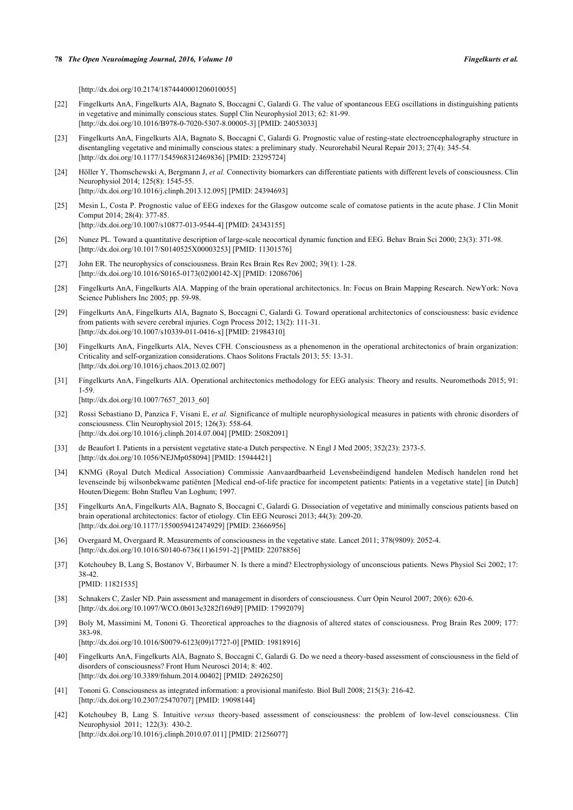[\[http://dx.doi.org/10.2174/1874440001206010055\]](http://dx.doi.org/10.2174/1874440001206010055)

- [22] Fingelkurts AnA, Fingelkurts AlA, Bagnato S, Boccagni C, Galardi G. The value of spontaneous EEG oscillations in distinguishing patients in vegetative and minimally conscious states. Suppl Clin Neurophysiol 2013; 62: 81-99. [\[http://dx.doi.org/10.1016/B978-0-7020-5307-8.00005-3](http://dx.doi.org/10.1016/B978-0-7020-5307-8.00005-3)] [PMID: [24053033](http://www.ncbi.nlm.nih.gov/pubmed/24053033)]
- <span id="page-9-16"></span>[23] Fingelkurts AnA, Fingelkurts AlA, Bagnato S, Boccagni C, Galardi G. Prognostic value of resting-state electroencephalography structure in disentangling vegetative and minimally conscious states: a preliminary study. Neurorehabil Neural Repair 2013; 27(4): 345-54. [\[http://dx.doi.org/10.1177/1545968312469836\]](http://dx.doi.org/10.1177/1545968312469836) [PMID: [23295724](http://www.ncbi.nlm.nih.gov/pubmed/23295724)]
- [24] Höller Y, Thomschewski A, Bergmann J, *et al.* Connectivity biomarkers can differentiate patients with different levels of consciousness. Clin Neurophysiol 2014; 125(8): 1545-55. [\[http://dx.doi.org/10.1016/j.clinph.2013.12.095](http://dx.doi.org/10.1016/j.clinph.2013.12.095)] [PMID: [24394693\]](http://www.ncbi.nlm.nih.gov/pubmed/24394693)
- <span id="page-9-0"></span>[25] Mesin L, Costa P. Prognostic value of EEG indexes for the Glasgow outcome scale of comatose patients in the acute phase. J Clin Monit Comput 2014; 28(4): 377-85. [\[http://dx.doi.org/10.1007/s10877-013-9544-4\]](http://dx.doi.org/10.1007/s10877-013-9544-4) [PMID: [24343155](http://www.ncbi.nlm.nih.gov/pubmed/24343155)]
- <span id="page-9-1"></span>[26] Nunez PL. Toward a quantitative description of large-scale neocortical dynamic function and EEG. Behav Brain Sci 2000; 23(3): 371-98. [\[http://dx.doi.org/10.1017/S0140525X00003253](http://dx.doi.org/10.1017/S0140525X00003253)] [PMID: [11301576\]](http://www.ncbi.nlm.nih.gov/pubmed/11301576)
- [27] John ER. The neurophysics of consciousness. Brain Res Brain Res Rev 2002; 39(1): 1-28. [\[http://dx.doi.org/10.1016/S0165-0173\(02\)00142-X\]](http://dx.doi.org/10.1016/S0165-0173(02)00142-X) [PMID: [12086706](http://www.ncbi.nlm.nih.gov/pubmed/12086706)]
- <span id="page-9-7"></span>[28] Fingelkurts AnA, Fingelkurts AlA. Mapping of the brain operational architectonics. In: Focus on Brain Mapping Research. NewYork: Nova Science Publishers Inc 2005; pp. 59-98.
- <span id="page-9-9"></span>[29] Fingelkurts AnA, Fingelkurts AlA, Bagnato S, Boccagni C, Galardi G. Toward operational architectonics of consciousness: basic evidence from patients with severe cerebral injuries. Cogn Process 2012; 13(2): 111-31. [\[http://dx.doi.org/10.1007/s10339-011-0416-x\]](http://dx.doi.org/10.1007/s10339-011-0416-x) [PMID: [21984310](http://www.ncbi.nlm.nih.gov/pubmed/21984310)]
- <span id="page-9-8"></span>[30] Fingelkurts AnA, Fingelkurts AlA, Neves CFH. Consciousness as a phenomenon in the operational architectonics of brain organization: Criticality and self-organization considerations. Chaos Solitons Fractals 2013; 55: 13-31. [\[http://dx.doi.org/10.1016/j.chaos.2013.02.007](http://dx.doi.org/10.1016/j.chaos.2013.02.007)]
- <span id="page-9-2"></span>[31] Fingelkurts AnA, Fingelkurts AlA. Operational architectonics methodology for EEG analysis: Theory and results. Neuromethods 2015; 91: 1-59.

[\[http://dx.doi.org/10.1007/7657\\_2013\\_60\]](http://dx.doi.org/10.1007/7657_2013_60)

- <span id="page-9-3"></span>[32] Rossi Sebastiano D, Panzica F, Visani E, *et al.* Significance of multiple neurophysiological measures in patients with chronic disorders of consciousness. Clin Neurophysiol 2015; 126(3): 558-64. [\[http://dx.doi.org/10.1016/j.clinph.2014.07.004](http://dx.doi.org/10.1016/j.clinph.2014.07.004)] [PMID: [25082091\]](http://www.ncbi.nlm.nih.gov/pubmed/25082091)
- <span id="page-9-4"></span>[33] de Beaufort I. Patients in a persistent vegetative state-a Dutch perspective. N Engl J Med 2005; 352(23): 2373-5. [\[http://dx.doi.org/10.1056/NEJMp058094\]](http://dx.doi.org/10.1056/NEJMp058094) [PMID: [15944421](http://www.ncbi.nlm.nih.gov/pubmed/15944421)]
- <span id="page-9-5"></span>[34] KNMG (Royal Dutch Medical Association) Commissie Aanvaardbaarheid Levensbeëindigend handelen Medisch handelen rond het levenseinde bij wilsonbekwame patiënten [Medical end-of-life practice for incompetent patients: Patients in a vegetative state] [in Dutch] Houten/Diegem: Bohn Stafleu Van Loghum; 1997.
- <span id="page-9-10"></span>[35] Fingelkurts AnA, Fingelkurts AlA, Bagnato S, Boccagni C, Galardi G. Dissociation of vegetative and minimally conscious patients based on brain operational architectonics: factor of etiology. Clin EEG Neurosci 2013; 44(3): 209-20. [\[http://dx.doi.org/10.1177/1550059412474929\]](http://dx.doi.org/10.1177/1550059412474929) [PMID: [23666956](http://www.ncbi.nlm.nih.gov/pubmed/23666956)]
- <span id="page-9-11"></span>[36] Overgaard M, Overgaard R. Measurements of consciousness in the vegetative state. Lancet 2011; 378(9809): 2052-4. [\[http://dx.doi.org/10.1016/S0140-6736\(11\)61591-2\]](http://dx.doi.org/10.1016/S0140-6736(11)61591-2) [PMID: [22078856](http://www.ncbi.nlm.nih.gov/pubmed/22078856)]
- <span id="page-9-12"></span>[37] Kotchoubey B, Lang S, Bostanov V, Birbaumer N. Is there a mind? Electrophysiology of unconscious patients. News Physiol Sci 2002; 17: 38-42.
	- [PMID: [11821535\]](http://www.ncbi.nlm.nih.gov/pubmed/11821535)
- <span id="page-9-13"></span>[38] Schnakers C, Zasler ND. Pain assessment and management in disorders of consciousness. Curr Opin Neurol 2007; 20(6): 620-6. [\[http://dx.doi.org/10.1097/WCO.0b013e3282f169d9\]](http://dx.doi.org/10.1097/WCO.0b013e3282f169d9) [PMID: [17992079](http://www.ncbi.nlm.nih.gov/pubmed/17992079)]
- <span id="page-9-14"></span>[39] Boly M, Massimini M, Tononi G. Theoretical approaches to the diagnosis of altered states of consciousness. Prog Brain Res 2009; 177: 383-98.

[\[http://dx.doi.org/10.1016/S0079-6123\(09\)17727-0\]](http://dx.doi.org/10.1016/S0079-6123(09)17727-0) [PMID: [19818916](http://www.ncbi.nlm.nih.gov/pubmed/19818916)]

- <span id="page-9-6"></span>[40] Fingelkurts AnA, Fingelkurts AlA, Bagnato S, Boccagni C, Galardi G. Do we need a theory-based assessment of consciousness in the field of disorders of consciousness? Front Hum Neurosci 2014; 8: 402. [\[http://dx.doi.org/10.3389/fnhum.2014.00402\]](http://dx.doi.org/10.3389/fnhum.2014.00402) [PMID: [24926250](http://www.ncbi.nlm.nih.gov/pubmed/24926250)]
- <span id="page-9-17"></span>[41] Tononi G. Consciousness as integrated information: a provisional manifesto. Biol Bull 2008; 215(3): 216-42. [\[http://dx.doi.org/10.2307/25470707\]](http://dx.doi.org/10.2307/25470707) [PMID: [19098144](http://www.ncbi.nlm.nih.gov/pubmed/19098144)]
- <span id="page-9-15"></span>[42] Kotchoubey B, Lang S. Intuitive *versus* theory-based assessment of consciousness: the problem of low-level consciousness. Clin Neurophysiol 2011; 122(3): 430-2. [\[http://dx.doi.org/10.1016/j.clinph.2010.07.011](http://dx.doi.org/10.1016/j.clinph.2010.07.011)] [PMID: [21256077\]](http://www.ncbi.nlm.nih.gov/pubmed/21256077)